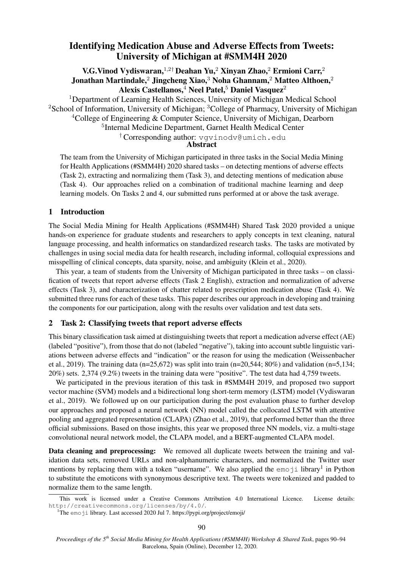# Identifying Medication Abuse and Adverse Effects from Tweets: University of Michigan at #SMM4H 2020

V.G.Vinod Vydiswaran,<sup>1,2†</sup> Deahan Yu,<sup>2</sup> Xinyan Zhao,<sup>2</sup> Ermioni Carr,<sup>2</sup> Jonathan Martindale,<sup>2</sup> Jingcheng Xiao,<sup>3</sup> Noha Ghannam,<sup>2</sup> Matteo Althoen,<sup>2</sup> Alexis Castellanos, $4$  Neel Patel, $5$  Daniel Vasquez $2$ 

<sup>1</sup>Department of Learning Health Sciences, University of Michigan Medical School <sup>2</sup>School of Information, University of Michigan; <sup>3</sup>College of Pharmacy, University of Michigan <sup>4</sup>College of Engineering & Computer Science, University of Michigan, Dearborn

<sup>5</sup>Internal Medicine Department, Garnet Health Medical Center

† Corresponding author: vgvinodv@umich.edu

Abstract

The team from the University of Michigan participated in three tasks in the Social Media Mining for Health Applications (#SMM4H) 2020 shared tasks – on detecting mentions of adverse effects (Task 2), extracting and normalizing them (Task 3), and detecting mentions of medication abuse (Task 4). Our approaches relied on a combination of traditional machine learning and deep learning models. On Tasks 2 and 4, our submitted runs performed at or above the task average.

### 1 Introduction

The Social Media Mining for Health Applications (#SMM4H) Shared Task 2020 provided a unique hands-on experience for graduate students and researchers to apply concepts in text cleaning, natural language processing, and health informatics on standardized research tasks. The tasks are motivated by challenges in using social media data for health research, including informal, colloquial expressions and misspelling of clinical concepts, data sparsity, noise, and ambiguity (Klein et al., 2020).

This year, a team of students from the University of Michigan participated in three tasks – on classification of tweets that report adverse effects (Task 2 English), extraction and normalization of adverse effects (Task 3), and characterization of chatter related to prescription medication abuse (Task 4). We submitted three runs for each of these tasks. This paper describes our approach in developing and training the components for our participation, along with the results over validation and test data sets.

# 2 Task 2: Classifying tweets that report adverse effects

This binary classification task aimed at distinguishing tweets that report a medication adverse effect (AE) (labeled "positive"), from those that do not (labeled "negative"), taking into account subtle linguistic variations between adverse effects and "indication" or the reason for using the medication (Weissenbacher et al., 2019). The training data (n=25,672) was split into train (n=20,544; 80%) and validation (n=5,134; 20%) sets. 2,374 (9.2%) tweets in the training data were "positive". The test data had 4,759 tweets.

We participated in the previous iteration of this task in #SMM4H 2019, and proposed two support vector machine (SVM) models and a bidirectional long short-term memory (LSTM) model (Vydiswaran et al., 2019). We followed up on our participation during the post evaluation phase to further develop our approaches and proposed a neural network (NN) model called the collocated LSTM with attentive pooling and aggregated representation (CLAPA) (Zhao et al., 2019), that performed better than the three official submissions. Based on those insights, this year we proposed three NN models, viz. a multi-stage convolutional neural network model, the CLAPA model, and a BERT-augmented CLAPA model.

Data cleaning and preprocessing: We removed all duplicate tweets between the training and validation data sets, removed URLs and non-alphanumeric characters, and normalized the Twitter user mentions by replacing them with a token "username". We also applied the emoji library<sup>1</sup> in Python to substitute the emoticons with synonymous descriptive text. The tweets were tokenized and padded to normalize them to the same length.

This work is licensed under a Creative Commons Attribution 4.0 International Licence. License details: http://creativecommons.org/licenses/by/4.0/.

<sup>&</sup>lt;sup>1</sup>The emoji library. Last accessed 2020 Jul 7. https://pypi.org/project/emoji/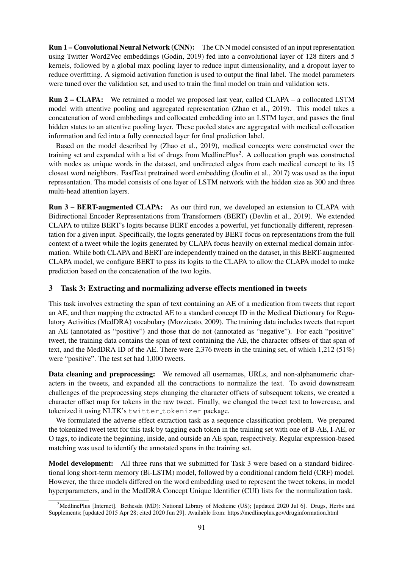Run 1 – Convolutional Neural Network (CNN): The CNN model consisted of an input representation using Twitter Word2Vec embeddings (Godin, 2019) fed into a convolutional layer of 128 filters and 5 kernels, followed by a global max pooling layer to reduce input dimensionality, and a dropout layer to reduce overfitting. A sigmoid activation function is used to output the final label. The model parameters were tuned over the validation set, and used to train the final model on train and validation sets.

Run 2 – CLAPA: We retrained a model we proposed last year, called CLAPA – a collocated LSTM model with attentive pooling and aggregated representation (Zhao et al., 2019). This model takes a concatenation of word embbedings and collocated embedding into an LSTM layer, and passes the final hidden states to an attentive pooling layer. These pooled states are aggregated with medical collocation information and fed into a fully connected layer for final prediction label.

Based on the model described by (Zhao et al., 2019), medical concepts were constructed over the training set and expanded with a list of drugs from MedlinePlus<sup>2</sup>. A collocation graph was constructed with nodes as unique words in the dataset, and undirected edges from each medical concept to its 15 closest word neighbors. FastText pretrained word embedding (Joulin et al., 2017) was used as the input representation. The model consists of one layer of LSTM network with the hidden size as 300 and three multi-head attention layers.

Run 3 – BERT-augmented CLAPA: As our third run, we developed an extension to CLAPA with Bidirectional Encoder Representations from Transformers (BERT) (Devlin et al., 2019). We extended CLAPA to utilize BERT's logits because BERT encodes a powerful, yet functionally different, representation for a given input. Specifically, the logits generated by BERT focus on representations from the full context of a tweet while the logits generated by CLAPA focus heavily on external medical domain information. While both CLAPA and BERT are independently trained on the dataset, in this BERT-augmented CLAPA model, we configure BERT to pass its logits to the CLAPA to allow the CLAPA model to make prediction based on the concatenation of the two logits.

## 3 Task 3: Extracting and normalizing adverse effects mentioned in tweets

This task involves extracting the span of text containing an AE of a medication from tweets that report an AE, and then mapping the extracted AE to a standard concept ID in the Medical Dictionary for Regulatory Activities (MedDRA) vocabulary (Mozzicato, 2009). The training data includes tweets that report an AE (annotated as "positive") and those that do not (annotated as "negative"). For each "positive" tweet, the training data contains the span of text containing the AE, the character offsets of that span of text, and the MedDRA ID of the AE. There were 2,376 tweets in the training set, of which 1,212 (51%) were "positive". The test set had 1,000 tweets.

Data cleaning and preprocessing: We removed all usernames, URLs, and non-alphanumeric characters in the tweets, and expanded all the contractions to normalize the text. To avoid downstream challenges of the preprocessing steps changing the character offsets of subsequent tokens, we created a character offset map for tokens in the raw tweet. Finally, we changed the tweet text to lowercase, and tokenized it using NLTK's twitter tokenizer package.

We formulated the adverse effect extraction task as a sequence classification problem. We prepared the tokenized tweet text for this task by tagging each token in the training set with one of B-AE, I-AE, or O tags, to indicate the beginning, inside, and outside an AE span, respectively. Regular expression-based matching was used to identify the annotated spans in the training set.

Model development: All three runs that we submitted for Task 3 were based on a standard bidirectional long short-term memory (Bi-LSTM) model, followed by a conditional random field (CRF) model. However, the three models differed on the word embedding used to represent the tweet tokens, in model hyperparameters, and in the MedDRA Concept Unique Identifier (CUI) lists for the normalization task.

<sup>&</sup>lt;sup>2</sup>MedlinePlus [Internet]. Bethesda (MD): National Library of Medicine (US); [updated 2020 Jul 6]. Drugs, Herbs and Supplements; [updated 2015 Apr 28; cited 2020 Jun 29]. Available from: https://medlineplus.gov/druginformation.html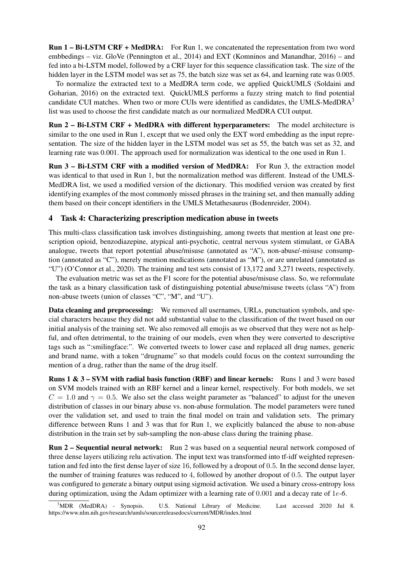Run 1 – Bi-LSTM CRF + MedDRA: For Run 1, we concatenated the representation from two word embbedings – viz. GloVe (Pennington et al., 2014) and EXT (Komninos and Manandhar, 2016) – and fed into a bi-LSTM model, followed by a CRF layer for this sequence classification task. The size of the hidden layer in the LSTM model was set as 75, the batch size was set as 64, and learning rate was 0.005.

To normalize the extracted text to a MedDRA term code, we applied QuickUMLS (Soldaini and Goharian, 2016) on the extracted text. QuickUMLS performs a fuzzy string match to find potential candidate CUI matches. When two or more CUIs were identified as candidates, the UMLS-MedDR $A<sup>3</sup>$ list was used to choose the first candidate match as our normalized MedDRA CUI output.

Run 2 – Bi-LSTM CRF + MedDRA with different hyperparameters: The model architecture is similar to the one used in Run 1, except that we used only the EXT word embedding as the input representation. The size of the hidden layer in the LSTM model was set as 55, the batch was set as 32, and learning rate was 0.001. The approach used for normalization was identical to the one used in Run 1.

Run 3 – Bi-LSTM CRF with a modified version of MedDRA: For Run 3, the extraction model was identical to that used in Run 1, but the normalization method was different. Instead of the UMLS-MedDRA list, we used a modified version of the dictionary. This modified version was created by first identifying examples of the most commonly missed phrases in the training set, and then manually adding them based on their concept identifiers in the UMLS Metathesaurus (Bodenreider, 2004).

### 4 Task 4: Characterizing prescription medication abuse in tweets

This multi-class classification task involves distinguishing, among tweets that mention at least one prescription opioid, benzodiazepine, atypical anti-psychotic, central nervous system stimulant, or GABA analogue, tweets that report potential abuse/misuse (annotated as "A"), non-abuse/-misuse consumption (annotated as "C"), merely mention medications (annotated as "M"), or are unrelated (annotated as "U") (O'Connor et al., 2020). The training and test sets consist of 13,172 and 3,271 tweets, respectively.

The evaluation metric was set as the F1 score for the potential abuse/misuse class. So, we reformulate the task as a binary classification task of distinguishing potential abuse/misuse tweets (class "A") from non-abuse tweets (union of classes "C", "M", and "U").

Data cleaning and preprocessing: We removed all usernames, URLs, punctuation symbols, and special characters because they did not add substantial value to the classification of the tweet based on our initial analysis of the training set. We also removed all emojis as we observed that they were not as helpful, and often detrimental, to the training of our models, even when they were converted to descriptive tags such as ":smilingface:". We converted tweets to lower case and replaced all drug names, generic and brand name, with a token "drugname" so that models could focus on the context surrounding the mention of a drug, rather than the name of the drug itself.

Runs 1 & 3 – SVM with radial basis function (RBF) and linear kernels: Runs 1 and 3 were based on SVM models trained with an RBF kernel and a linear kernel, respectively. For both models, we set  $C = 1.0$  and  $\gamma = 0.5$ . We also set the class weight parameter as "balanced" to adjust for the uneven distribution of classes in our binary abuse vs. non-abuse formulation. The model parameters were tuned over the validation set, and used to train the final model on train and validation sets. The primary difference between Runs 1 and 3 was that for Run 1, we explicitly balanced the abuse to non-abuse distribution in the train set by sub-sampling the non-abuse class during the training phase.

Run 2 – Sequential neural network: Run 2 was based on a sequential neural network composed of three dense layers utilizing relu activation. The input text was transformed into tf-idf weighted representation and fed into the first dense layer of size 16, followed by a dropout of 0.5. In the second dense layer, the number of training features was reduced to 4, followed by another dropout of 0.5. The output layer was configured to generate a binary output using sigmoid activation. We used a binary cross-entropy loss during optimization, using the Adam optimizer with a learning rate of 0.001 and a decay rate of 1e*-6*.

<sup>3</sup>MDR (MedDRA) - Synopsis. U.S. National Library of Medicine. Last accessed 2020 Jul 8. https://www.nlm.nih.gov/research/umls/sourcereleasedocs/current/MDR/index.html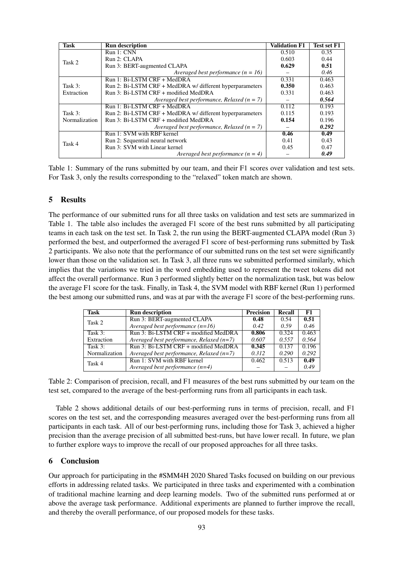| <b>Task</b>                | <b>Run description</b>                                   | <b>Validation F1</b> | <b>Test set F1</b> |
|----------------------------|----------------------------------------------------------|----------------------|--------------------|
| Task 2                     | Run 1: CNN                                               | 0.510                | 0.35               |
|                            | Run 2: CLAPA                                             | 0.603                | 0.44               |
|                            | Run 3: BERT-augmented CLAPA                              | 0.629                | 0.51               |
|                            | Averaged best performance $(n = 16)$                     |                      | 0.46               |
| Task $3:$<br>Extraction    | Run 1: Bi-LSTM CRF + MedDRA                              | 0.331                | 0.463              |
|                            | Run 2: Bi-LSTM CRF + MedDRA w/ different hyperparameters | 0.350                | 0.463              |
|                            | Run 3: Bi-LSTM CRF + modified MedDRA                     | 0.331                | 0.463              |
|                            | Averaged best performance, Relaxed ( $n = 7$ )           |                      | 0.564              |
| Task $3:$<br>Normalization | Run 1: Bi-LSTM CRF + MedDRA                              | 0.112                | 0.193              |
|                            | Run 2: Bi-LSTM CRF + MedDRA w/ different hyperparameters | 0.115                | 0.193              |
|                            | Run 3: Bi-LSTM CRF + modified MedDRA                     | 0.154                | 0.196              |
|                            | Averaged best performance, Relaxed ( $n = 7$ )           |                      | 0.292              |
| Task 4                     | Run 1: SVM with RBF kernel                               | 0.46                 | 0.49               |
|                            | Run 2: Sequential neural network                         | 0.41                 | 0.43               |
|                            | Run 3: SVM with Linear kernel                            | 0.45                 | 0.47               |
|                            | Averaged best performance $(n = 4)$                      |                      | 0.49               |

Table 1: Summary of the runs submitted by our team, and their F1 scores over validation and test sets. For Task 3, only the results corresponding to the "relaxed" token match are shown.

### 5 Results

The performance of our submitted runs for all three tasks on validation and test sets are summarized in Table 1. The table also includes the averaged F1 score of the best runs submitted by all participating teams in each task on the test set. In Task 2, the run using the BERT-augmented CLAPA model (Run 3) performed the best, and outperformed the averaged F1 score of best-performing runs submitted by Task 2 participants. We also note that the performance of our submitted runs on the test set were significantly lower than those on the validation set. In Task 3, all three runs we submitted performed similarly, which implies that the variations we tried in the word embedding used to represent the tweet tokens did not affect the overall performance. Run 3 performed slightly better on the normalization task, but was below the average F1 score for the task. Finally, in Task 4, the SVM model with RBF kernel (Run 1) performed the best among our submitted runs, and was at par with the average F1 score of the best-performing runs.

| Task          | <b>Run description</b>                     | <b>Precision</b> | Recall | F1    |
|---------------|--------------------------------------------|------------------|--------|-------|
| Task 2        | Run 3: BERT-augmented CLAPA                | 0.48             | 0.54   | 0.51  |
|               | Averaged best performance $(n=16)$         | 0.42             | 0.59   | 0.46  |
| Task $3:$     | Run 3: Bi-LSTM CRF + modified MedDRA       | 0.806            | 0.324  | 0.463 |
| Extraction    | Averaged best performance, Relaxed $(n=7)$ | 0.607            | 0.557  | 0.564 |
| Task 3:       | Run 3: Bi-LSTM CRF + modified MedDRA       | 0.345            | 0.137  | 0.196 |
| Normalization | Averaged best performance, Relaxed $(n=7)$ | 0.312            | 0.290  | 0.292 |
| Task 4        | Run 1: SVM with RBF kernel                 | 0.462            | 0.513  | 0.49  |
|               | Averaged best performance $(n=4)$          |                  |        | 0.49  |

Table 2: Comparison of precision, recall, and F1 measures of the best runs submitted by our team on the test set, compared to the average of the best-performing runs from all participants in each task.

Table 2 shows additional details of our best-performing runs in terms of precision, recall, and F1 scores on the test set, and the corresponding measures averaged over the best-performing runs from all participants in each task. All of our best-performing runs, including those for Task 3, achieved a higher precision than the average precision of all submitted best-runs, but have lower recall. In future, we plan to further explore ways to improve the recall of our proposed approaches for all three tasks.

#### 6 Conclusion

Our approach for participating in the #SMM4H 2020 Shared Tasks focused on building on our previous efforts in addressing related tasks. We participated in three tasks and experimented with a combination of traditional machine learning and deep learning models. Two of the submitted runs performed at or above the average task performance. Additional experiments are planned to further improve the recall, and thereby the overall performance, of our proposed models for these tasks.